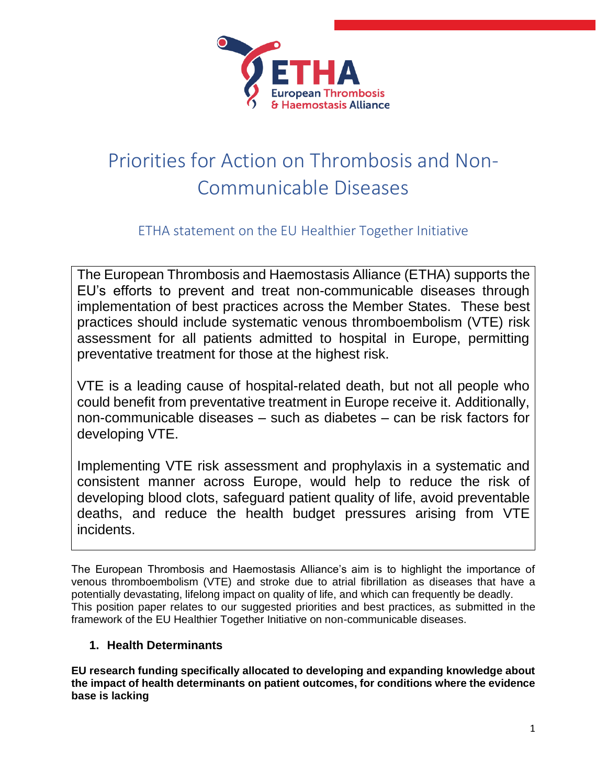

# Priorities for Action on Thrombosis and Non-Communicable Diseases

ETHA statement on the EU Healthier Together Initiative

The European Thrombosis and Haemostasis Alliance (ETHA) supports the EU's efforts to prevent and treat non-communicable diseases through implementation of best practices across the Member States. These best practices should include systematic venous thromboembolism (VTE) risk assessment for all patients admitted to hospital in Europe, permitting preventative treatment for those at the highest risk.

VTE is a leading cause of hospital-related death, but not all people who could benefit from preventative treatment in Europe receive it. Additionally, non-communicable diseases – such as diabetes – can be risk factors for developing VTE.

Implementing VTE risk assessment and prophylaxis in a systematic and consistent manner across Europe, would help to reduce the risk of developing blood clots, safeguard patient quality of life, avoid preventable deaths, and reduce the health budget pressures arising from VTE incidents.

The European Thrombosis and Haemostasis Alliance's aim is to highlight the importance of venous thromboembolism (VTE) and stroke due to atrial fibrillation as diseases that have a potentially devastating, lifelong impact on quality of life, and which can frequently be deadly. This position paper relates to our suggested priorities and best practices, as submitted in the framework of the EU Healthier Together Initiative on non-communicable diseases.

# **1. Health Determinants**

**EU research funding specifically allocated to developing and expanding knowledge about the impact of health determinants on patient outcomes, for conditions where the evidence base is lacking**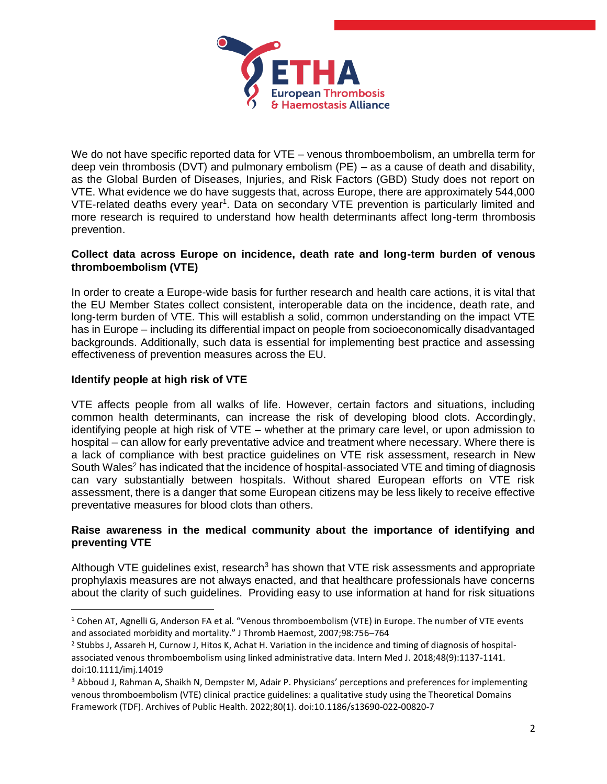

We do not have specific reported data for VTE – venous thromboembolism, an umbrella term for deep vein thrombosis (DVT) and pulmonary embolism (PE) – as a cause of death and disability, as the Global Burden of Diseases, Injuries, and Risk Factors (GBD) Study does not report on VTE. What evidence we do have suggests that, across Europe, there are approximately 544,000 VTE-related deaths every year<sup>1</sup>. Data on secondary VTE prevention is particularly limited and more research is required to understand how health determinants affect long-term thrombosis prevention.

## **Collect data across Europe on incidence, death rate and long-term burden of venous thromboembolism (VTE)**

In order to create a Europe-wide basis for further research and health care actions, it is vital that the EU Member States collect consistent, interoperable data on the incidence, death rate, and long-term burden of VTE. This will establish a solid, common understanding on the impact VTE has in Europe – including its differential impact on people from socioeconomically disadvantaged backgrounds. Additionally, such data is essential for implementing best practice and assessing effectiveness of prevention measures across the EU.

# **Identify people at high risk of VTE**

VTE affects people from all walks of life. However, certain factors and situations, including common health determinants, can increase the risk of developing blood clots. Accordingly, identifying people at high risk of VTE – whether at the primary care level, or upon admission to hospital – can allow for early preventative advice and treatment where necessary. Where there is a lack of compliance with best practice guidelines on VTE risk assessment, research in New South Wales<sup>2</sup> has indicated that the incidence of hospital-associated VTE and timing of diagnosis can vary substantially between hospitals. Without shared European efforts on VTE risk assessment, there is a danger that some European citizens may be less likely to receive effective preventative measures for blood clots than others.

#### **Raise awareness in the medical community about the importance of identifying and preventing VTE**

Although VTE guidelines exist, research<sup>3</sup> has shown that VTE risk assessments and appropriate prophylaxis measures are not always enacted, and that healthcare professionals have concerns about the clarity of such guidelines. Providing easy to use information at hand for risk situations

<sup>1</sup> Cohen AT, Agnelli G, Anderson FA et al. "Venous thromboembolism (VTE) in Europe. The number of VTE events and associated morbidity and mortality." J Thromb Haemost, 2007;98:756–764

<sup>&</sup>lt;sup>2</sup> Stubbs J, Assareh H, Curnow J, Hitos K, Achat H. Variation in the incidence and timing of diagnosis of hospitalassociated venous thromboembolism using linked administrative data. Intern Med J. 2018;48(9):1137-1141. doi:10.1111/imj.14019

<sup>3</sup> Abboud J, Rahman A, Shaikh N, Dempster M, Adair P. Physicians' perceptions and preferences for implementing venous thromboembolism (VTE) clinical practice guidelines: a qualitative study using the Theoretical Domains Framework (TDF). Archives of Public Health. 2022;80(1). doi:10.1186/s13690-022-00820-7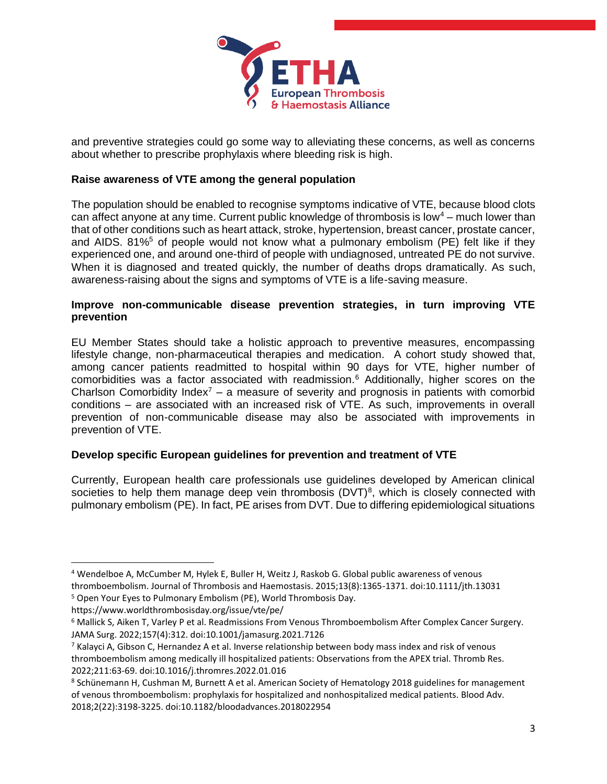

and preventive strategies could go some way to alleviating these concerns, as well as concerns about whether to prescribe prophylaxis where bleeding risk is high.

#### **Raise awareness of VTE among the general population**

The population should be enabled to recognise symptoms indicative of VTE, because blood clots can affect anyone at any time. Current public knowledge of thrombosis is low<sup>4</sup> – much lower than that of other conditions such as heart attack, stroke, hypertension, breast cancer, prostate cancer, and AIDS.  $81\%$ <sup>5</sup> of people would not know what a pulmonary embolism (PE) felt like if they experienced one, and around one-third of people with undiagnosed, untreated PE do not survive. When it is diagnosed and treated quickly, the number of deaths drops dramatically. As such, awareness-raising about the signs and symptoms of VTE is a life-saving measure.

#### **Improve non-communicable disease prevention strategies, in turn improving VTE prevention**

EU Member States should take a holistic approach to preventive measures, encompassing lifestyle change, non-pharmaceutical therapies and medication. A cohort study showed that, among cancer patients readmitted to hospital within 90 days for VTE, higher number of comorbidities was a factor associated with readmission.<sup>6</sup> Additionally, higher scores on the Charlson Comorbidity Index<sup>7</sup> – a measure of severity and prognosis in patients with comorbid conditions – are associated with an increased risk of VTE. As such, improvements in overall prevention of non-communicable disease may also be associated with improvements in prevention of VTE.

#### **Develop specific European guidelines for prevention and treatment of VTE**

Currently, European health care professionals use guidelines developed by American clinical societies to help them manage deep vein thrombosis  $(DVT)^8$ , which is closely connected with pulmonary embolism (PE). In fact, PE arises from DVT. Due to differing epidemiological situations

<sup>4</sup> Wendelboe A, McCumber M, Hylek E, Buller H, Weitz J, Raskob G. Global public awareness of venous thromboembolism. Journal of Thrombosis and Haemostasis. 2015;13(8):1365-1371. doi:10.1111/jth.13031

<sup>5</sup> Open Your Eyes to Pulmonary Embolism (PE), World Thrombosis Day.

https://www.worldthrombosisday.org/issue/vte/pe/

<sup>6</sup> Mallick S, Aiken T, Varley P et al. Readmissions From Venous Thromboembolism After Complex Cancer Surgery. JAMA Surg. 2022;157(4):312. doi:10.1001/jamasurg.2021.7126

<sup>7</sup> Kalayci A, Gibson C, Hernandez A et al. Inverse relationship between body mass index and risk of venous thromboembolism among medically ill hospitalized patients: Observations from the APEX trial. Thromb Res. 2022;211:63-69. doi:10.1016/j.thromres.2022.01.016

<sup>8</sup> Schünemann H, Cushman M, Burnett A et al. American Society of Hematology 2018 guidelines for management of venous thromboembolism: prophylaxis for hospitalized and nonhospitalized medical patients. Blood Adv. 2018;2(22):3198-3225. doi:10.1182/bloodadvances.2018022954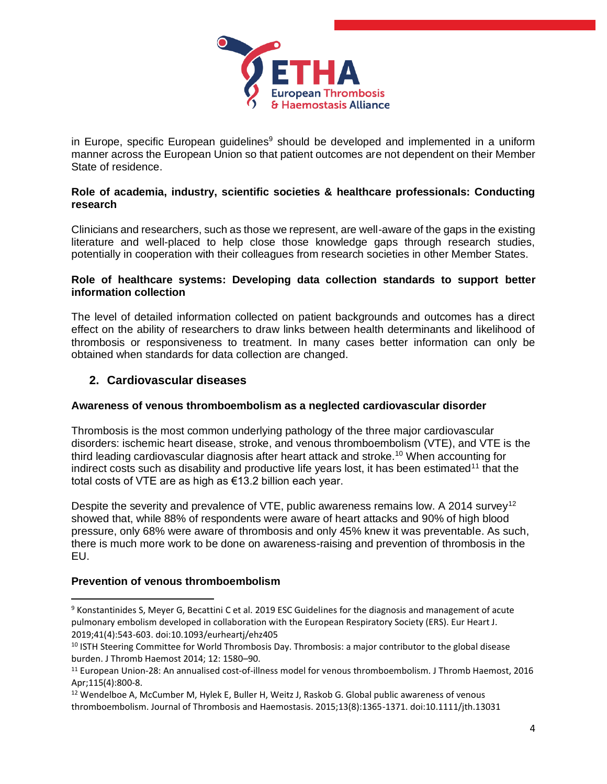

in Europe, specific European guidelines $9$  should be developed and implemented in a uniform manner across the European Union so that patient outcomes are not dependent on their Member State of residence.

## **Role of academia, industry, scientific societies & healthcare professionals: Conducting research**

Clinicians and researchers, such as those we represent, are well-aware of the gaps in the existing literature and well-placed to help close those knowledge gaps through research studies, potentially in cooperation with their colleagues from research societies in other Member States.

#### **Role of healthcare systems: Developing data collection standards to support better information collection**

The level of detailed information collected on patient backgrounds and outcomes has a direct effect on the ability of researchers to draw links between health determinants and likelihood of thrombosis or responsiveness to treatment. In many cases better information can only be obtained when standards for data collection are changed.

# **2. Cardiovascular diseases**

## **Awareness of venous thromboembolism as a neglected cardiovascular disorder**

Thrombosis is the most common underlying pathology of the three major cardiovascular disorders: ischemic heart disease, stroke, and venous thromboembolism (VTE), and VTE is the third leading cardiovascular diagnosis after heart attack and stroke.<sup>10</sup> When accounting for indirect costs such as disability and productive life years lost, it has been estimated<sup>11</sup> that the total costs of VTE are as high as €13.2 billion each year.

Despite the severity and prevalence of VTE, public awareness remains low. A 2014 survey<sup>12</sup> showed that, while 88% of respondents were aware of heart attacks and 90% of high blood pressure, only 68% were aware of thrombosis and only 45% knew it was preventable. As such, there is much more work to be done on awareness-raising and prevention of thrombosis in the EU.

## **Prevention of venous thromboembolism**

<sup>9</sup> Konstantinides S, Meyer G, Becattini C et al. 2019 ESC Guidelines for the diagnosis and management of acute pulmonary embolism developed in collaboration with the European Respiratory Society (ERS). Eur Heart J. 2019;41(4):543-603. doi:10.1093/eurheartj/ehz405

<sup>&</sup>lt;sup>10</sup> ISTH Steering Committee for World Thrombosis Day. Thrombosis: a major contributor to the global disease burden. J Thromb Haemost 2014; 12: 1580–90.

<sup>11</sup> European Union-28: An annualised cost-of-illness model for venous thromboembolism. J Thromb Haemost, 2016 Apr;115(4):800-8.

<sup>&</sup>lt;sup>12</sup> Wendelboe A, McCumber M, Hylek E, Buller H, Weitz J, Raskob G. Global public awareness of venous thromboembolism. Journal of Thrombosis and Haemostasis. 2015;13(8):1365-1371. doi:10.1111/jth.13031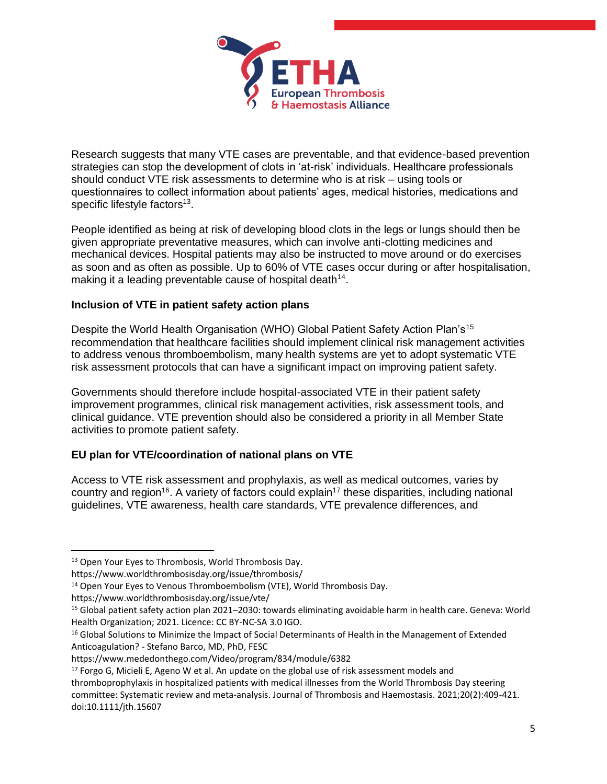

Research suggests that many VTE cases are preventable, and that evidence-based prevention strategies can stop the development of clots in 'at-risk' individuals. Healthcare professionals should conduct VTE risk assessments to determine who is at risk – using tools or questionnaires to collect information about patients' ages, medical histories, medications and specific lifestyle factors $^{13}$ .

People identified as being at risk of developing blood clots in the legs or lungs should then be given appropriate preventative measures, which can involve anti-clotting medicines and mechanical devices. Hospital patients may also be instructed to move around or do exercises as soon and as often as possible. Up to 60% of VTE cases occur during or after hospitalisation, making it a leading preventable cause of hospital death $14$ .

# **Inclusion of VTE in patient safety action plans**

Despite the World Health Organisation (WHO) Global Patient Safety Action Plan's<sup>15</sup> recommendation that healthcare facilities should implement clinical risk management activities to address venous thromboembolism, many health systems are yet to adopt systematic VTE risk assessment protocols that can have a significant impact on improving patient safety.

Governments should therefore include hospital-associated VTE in their patient safety improvement programmes, clinical risk management activities, risk assessment tools, and clinical guidance. VTE prevention should also be considered a priority in all Member State activities to promote patient safety.

# **EU plan for VTE/coordination of national plans on VTE**

Access to VTE risk assessment and prophylaxis, as well as medical outcomes, varies by country and region<sup>16</sup>. A variety of factors could explain<sup>17</sup> these disparities, including national guidelines, VTE awareness, health care standards, VTE prevalence differences, and

 $17$  Forgo G, Micieli E, Ageno W et al. An update on the global use of risk assessment models and

<sup>&</sup>lt;sup>13</sup> Open Your Eyes to Thrombosis, World Thrombosis Day.

https://www.worldthrombosisday.org/issue/thrombosis/

<sup>&</sup>lt;sup>14</sup> Open Your Eyes to Venous Thromboembolism (VTE), World Thrombosis Day.

https://www.worldthrombosisday.org/issue/vte/

<sup>15</sup> Global patient safety action plan 2021–2030: towards eliminating avoidable harm in health care. Geneva: World Health Organization; 2021. Licence: CC BY-NC-SA 3.0 IGO.

<sup>&</sup>lt;sup>16</sup> Global Solutions to Minimize the Impact of Social Determinants of Health in the Management of Extended Anticoagulation? - Stefano Barco, MD, PhD, FESC

https://www.mededonthego.com/Video/program/834/module/6382

thromboprophylaxis in hospitalized patients with medical illnesses from the World Thrombosis Day steering committee: Systematic review and meta‐analysis. Journal of Thrombosis and Haemostasis. 2021;20(2):409-421. doi:10.1111/jth.15607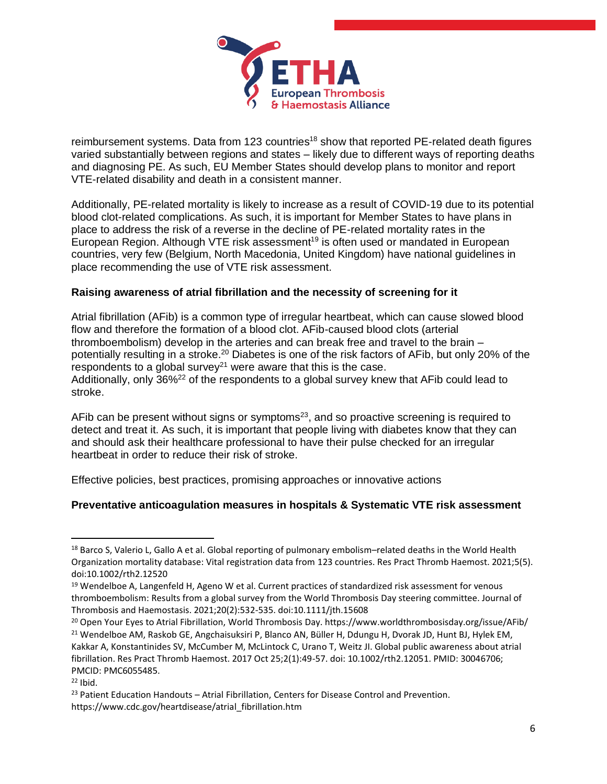

reimbursement systems. Data from 123 countries<sup>18</sup> show that reported PE-related death figures varied substantially between regions and states – likely due to different ways of reporting deaths and diagnosing PE. As such, EU Member States should develop plans to monitor and report VTE-related disability and death in a consistent manner.

Additionally, PE-related mortality is likely to increase as a result of COVID-19 due to its potential blood clot-related complications. As such, it is important for Member States to have plans in place to address the risk of a reverse in the decline of PE-related mortality rates in the European Region. Although VTE risk assessment<sup>19</sup> is often used or mandated in European countries, very few (Belgium, North Macedonia, United Kingdom) have national guidelines in place recommending the use of VTE risk assessment.

## **Raising awareness of atrial fibrillation and the necessity of screening for it**

Atrial fibrillation (AFib) is a common type of irregular heartbeat, which can cause slowed blood flow and therefore the formation of a blood clot. AFib-caused blood clots (arterial thromboembolism) develop in the arteries and can break free and travel to the brain – potentially resulting in a stroke.<sup>20</sup> Diabetes is one of the risk factors of AFib, but only 20% of the respondents to a global survey<sup>21</sup> were aware that this is the case. Additionally, only  $36\frac{22}{2}$  of the respondents to a global survey knew that AFib could lead to stroke.

AFib can be present without signs or symptoms $23$ , and so proactive screening is required to detect and treat it. As such, it is important that people living with diabetes know that they can and should ask their healthcare professional to have their pulse checked for an irregular heartbeat in order to reduce their risk of stroke.

Effective policies, best practices, promising approaches or innovative actions

## **Preventative anticoagulation measures in hospitals & Systematic VTE risk assessment**

<sup>18</sup> Barco S, Valerio L, Gallo A et al. Global reporting of pulmonary embolism–related deaths in the World Health Organization mortality database: Vital registration data from 123 countries. Res Pract Thromb Haemost. 2021;5(5). doi:10.1002/rth2.12520

<sup>&</sup>lt;sup>19</sup> Wendelboe A, Langenfeld H, Ageno W et al. Current practices of standardized risk assessment for venous thromboembolism: Results from a global survey from the World Thrombosis Day steering committee. Journal of Thrombosis and Haemostasis. 2021;20(2):532-535. doi:10.1111/jth.15608

<sup>20</sup> Open Your Eyes to Atrial Fibrillation, World Thrombosis Day. https://www.worldthrombosisday.org/issue/AFib/ <sup>21</sup> Wendelboe AM, Raskob GE, Angchaisuksiri P, Blanco AN, Büller H, Ddungu H, Dvorak JD, Hunt BJ, Hylek EM, Kakkar A, Konstantinides SV, McCumber M, McLintock C, Urano T, Weitz JI. Global public awareness about atrial fibrillation. Res Pract Thromb Haemost. 2017 Oct 25;2(1):49-57. doi: 10.1002/rth2.12051. PMID: 30046706; PMCID: PMC6055485.

 $22$  Ibid.

<sup>&</sup>lt;sup>23</sup> Patient Education Handouts - Atrial Fibrillation, Centers for Disease Control and Prevention. https://www.cdc.gov/heartdisease/atrial\_fibrillation.htm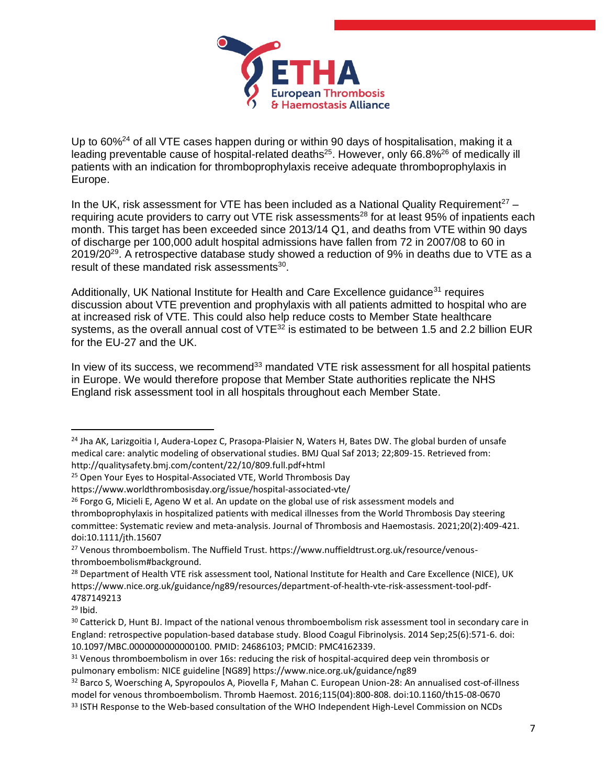

Up to 60%<sup>24</sup> of all VTE cases happen during or within 90 days of hospitalisation, making it a leading preventable cause of hospital-related deaths<sup>25</sup>. However, only 66.8%<sup>26</sup> of medically ill patients with an indication for thromboprophylaxis receive adequate thromboprophylaxis in Europe.

In the UK, risk assessment for VTE has been included as a National Quality Requirement<sup>27</sup> – requiring acute providers to carry out VTE risk assessments<sup>28</sup> for at least 95% of inpatients each month. This target has been exceeded since 2013/14 Q1, and deaths from VTE within 90 days of discharge per 100,000 adult hospital admissions have fallen from 72 in 2007/08 to 60 in  $2019/20^{29}$ . A retrospective database study showed a reduction of 9% in deaths due to VTE as a result of these mandated risk assessments<sup>30</sup>.

Additionally, UK National Institute for Health and Care Excellence quidance<sup>31</sup> requires discussion about VTE prevention and prophylaxis with all patients admitted to hospital who are at increased risk of VTE. This could also help reduce costs to Member State healthcare systems, as the overall annual cost of VTE<sup>32</sup> is estimated to be between 1.5 and 2.2 billion EUR for the EU-27 and the UK.

In view of its success, we recommend $33$  mandated VTE risk assessment for all hospital patients in Europe. We would therefore propose that Member State authorities replicate the NHS England risk assessment tool in all hospitals throughout each Member State.

<sup>&</sup>lt;sup>24</sup> Jha AK, Larizgoitia I, Audera-Lopez C, Prasopa-Plaisier N, Waters H, Bates DW. The global burden of unsafe medical care: analytic modeling of observational studies. BMJ Qual Saf 2013; 22;809-15. Retrieved from: http://qualitysafety.bmj.com/content/22/10/809.full.pdf+html

<sup>&</sup>lt;sup>25</sup> Open Your Eyes to Hospital-Associated VTE, World Thrombosis Day

https://www.worldthrombosisday.org/issue/hospital-associated-vte/

 $26$  Forgo G, Micieli E, Ageno W et al. An update on the global use of risk assessment models and thromboprophylaxis in hospitalized patients with medical illnesses from the World Thrombosis Day steering committee: Systematic review and meta‐analysis. Journal of Thrombosis and Haemostasis. 2021;20(2):409-421. doi:10.1111/jth.15607

<sup>27</sup> Venous thromboembolism. The Nuffield Trust. https://www.nuffieldtrust.org.uk/resource/venousthromboembolism#background.

<sup>&</sup>lt;sup>28</sup> Department of Health VTE risk assessment tool, National Institute for Health and Care Excellence (NICE), UK https://www.nice.org.uk/guidance/ng89/resources/department-of-health-vte-risk-assessment-tool-pdf-4787149213

 $29$  Ibid.

<sup>&</sup>lt;sup>30</sup> Catterick D, Hunt BJ. Impact of the national venous thromboembolism risk assessment tool in secondary care in England: retrospective population-based database study. Blood Coagul Fibrinolysis. 2014 Sep;25(6):571-6. doi: 10.1097/MBC.0000000000000100. PMID: 24686103; PMCID: PMC4162339.

<sup>&</sup>lt;sup>31</sup> Venous thromboembolism in over 16s: reducing the risk of hospital-acquired deep vein thrombosis or pulmonary embolism: NICE guideline [NG89] https://www.nice.org.uk/guidance/ng89

<sup>32</sup> Barco S, Woersching A, Spyropoulos A, Piovella F, Mahan C. European Union-28: An annualised cost-of-illness model for venous thromboembolism. Thromb Haemost. 2016;115(04):800-808. doi:10.1160/th15-08-0670 <sup>33</sup> ISTH Response to the Web-based consultation of the WHO Independent High-Level Commission on NCDs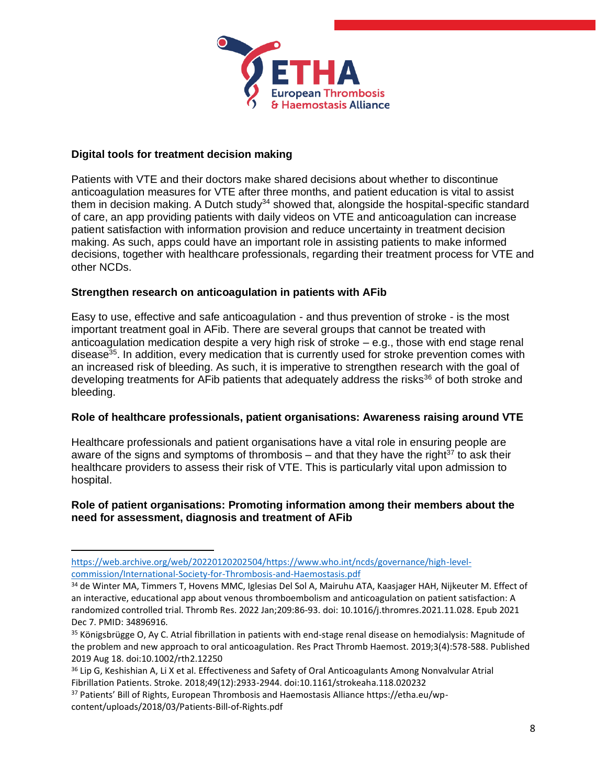

## **Digital tools for treatment decision making**

Patients with VTE and their doctors make shared decisions about whether to discontinue anticoagulation measures for VTE after three months, and patient education is vital to assist them in decision making. A Dutch study<sup>34</sup> showed that, alongside the hospital-specific standard of care, an app providing patients with daily videos on VTE and anticoagulation can increase patient satisfaction with information provision and reduce uncertainty in treatment decision making. As such, apps could have an important role in assisting patients to make informed decisions, together with healthcare professionals, regarding their treatment process for VTE and other NCDs.

## **Strengthen research on anticoagulation in patients with AFib**

Easy to use, effective and safe anticoagulation - and thus prevention of stroke - is the most important treatment goal in AFib. There are several groups that cannot be treated with anticoagulation medication despite a very high risk of stroke – e.g., those with end stage renal disease<sup>35</sup>. In addition, every medication that is currently used for stroke prevention comes with an increased risk of bleeding. As such, it is imperative to strengthen research with the goal of developing treatments for AFib patients that adequately address the risks<sup>36</sup> of both stroke and bleeding.

#### **Role of healthcare professionals, patient organisations: Awareness raising around VTE**

Healthcare professionals and patient organisations have a vital role in ensuring people are aware of the signs and symptoms of thrombosis – and that they have the right<sup>37</sup> to ask their healthcare providers to assess their risk of VTE. This is particularly vital upon admission to hospital.

#### **Role of patient organisations: Promoting information among their members about the need for assessment, diagnosis and treatment of AFib**

[https://web.archive.org/web/20220120202504/https://www.who.int/ncds/governance/high-level](https://web.archive.org/web/20220120202504/https:/www.who.int/ncds/governance/high-level-commission/International-Society-for-Thrombosis-and-Haemostasis.pdf)[commission/International-Society-for-Thrombosis-and-Haemostasis.pdf](https://web.archive.org/web/20220120202504/https:/www.who.int/ncds/governance/high-level-commission/International-Society-for-Thrombosis-and-Haemostasis.pdf)

<sup>34</sup> de Winter MA, Timmers T, Hovens MMC, Iglesias Del Sol A, Mairuhu ATA, Kaasjager HAH, Nijkeuter M. Effect of an interactive, educational app about venous thromboembolism and anticoagulation on patient satisfaction: A randomized controlled trial. Thromb Res. 2022 Jan;209:86-93. doi: 10.1016/j.thromres.2021.11.028. Epub 2021 Dec 7. PMID: 34896916.

<sup>35</sup> Königsbrügge O, Ay C. Atrial fibrillation in patients with end-stage renal disease on hemodialysis: Magnitude of the problem and new approach to oral anticoagulation. Res Pract Thromb Haemost. 2019;3(4):578-588. Published 2019 Aug 18. doi:10.1002/rth2.12250

<sup>&</sup>lt;sup>36</sup> Lip G, Keshishian A, Li X et al. Effectiveness and Safety of Oral Anticoagulants Among Nonvalvular Atrial Fibrillation Patients. Stroke. 2018;49(12):2933-2944. doi:10.1161/strokeaha.118.020232

<sup>37</sup> Patients' Bill of Rights, European Thrombosis and Haemostasis Alliance https://etha.eu/wpcontent/uploads/2018/03/Patients-Bill-of-Rights.pdf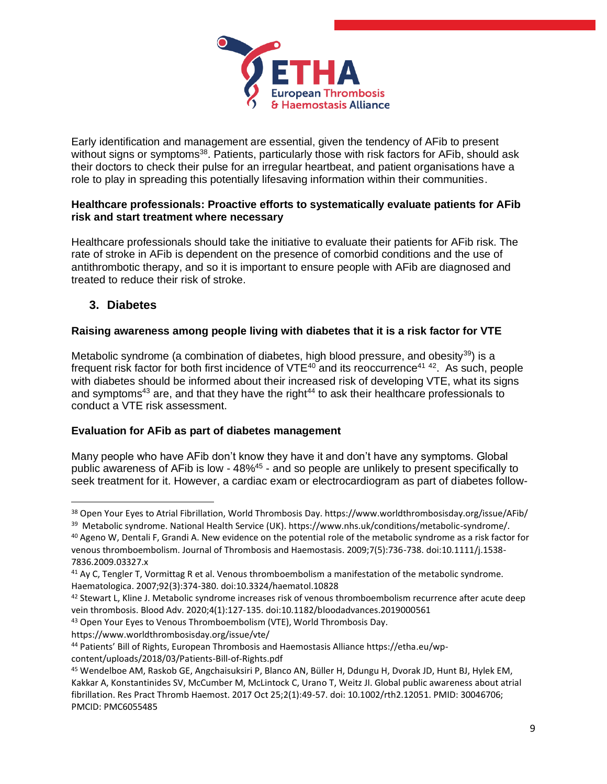

Early identification and management are essential, given the tendency of AFib to present without signs or symptoms<sup>38</sup>. Patients, particularly those with risk factors for AFib, should ask their doctors to check their pulse for an irregular heartbeat, and patient organisations have a role to play in spreading this potentially lifesaving information within their communities.

## **Healthcare professionals: Proactive efforts to systematically evaluate patients for AFib risk and start treatment where necessary**

Healthcare professionals should take the initiative to evaluate their patients for AFib risk. The rate of stroke in AFib is dependent on the presence of comorbid conditions and the use of antithrombotic therapy, and so it is important to ensure people with AFib are diagnosed and treated to reduce their risk of stroke.

# **3. Diabetes**

# **Raising awareness among people living with diabetes that it is a risk factor for VTE**

Metabolic syndrome (a combination of diabetes, high blood pressure, and obesity $^{39}$ ) is a frequent risk factor for both first incidence of  $VTE^{40}$  and its reoccurrence<sup>41 42</sup>. As such, people with diabetes should be informed about their increased risk of developing VTE, what its signs and symptoms<sup>43</sup> are, and that they have the right<sup>44</sup> to ask their healthcare professionals to conduct a VTE risk assessment.

## **Evaluation for AFib as part of diabetes management**

Many people who have AFib don't know they have it and don't have any symptoms. Global public awareness of AFib is low - 48%<sup>45</sup> - and so people are unlikely to present specifically to seek treatment for it. However, a cardiac exam or electrocardiogram as part of diabetes follow-

https://www.worldthrombosisday.org/issue/vte/

<sup>38</sup> Open Your Eyes to Atrial Fibrillation, World Thrombosis Day. https://www.worldthrombosisday.org/issue/AFib/

<sup>&</sup>lt;sup>39</sup> Metabolic syndrome. National Health Service (UK). https://www.nhs.uk/conditions/metabolic-syndrome/.

<sup>&</sup>lt;sup>40</sup> Ageno W, Dentali F, Grandi A. New evidence on the potential role of the metabolic syndrome as a risk factor for venous thromboembolism. Journal of Thrombosis and Haemostasis. 2009;7(5):736-738. doi:10.1111/j.1538- 7836.2009.03327.x

<sup>41</sup> Ay C, Tengler T, Vormittag R et al. Venous thromboembolism a manifestation of the metabolic syndrome. Haematologica. 2007;92(3):374-380. doi:10.3324/haematol.10828

<sup>&</sup>lt;sup>42</sup> Stewart L, Kline J. Metabolic syndrome increases risk of venous thromboembolism recurrence after acute deep vein thrombosis. Blood Adv. 2020;4(1):127-135. doi:10.1182/bloodadvances.2019000561

<sup>43</sup> Open Your Eyes to Venous Thromboembolism (VTE), World Thrombosis Day.

<sup>44</sup> Patients' Bill of Rights, European Thrombosis and Haemostasis Alliance https://etha.eu/wpcontent/uploads/2018/03/Patients-Bill-of-Rights.pdf

<sup>45</sup> Wendelboe AM, Raskob GE, Angchaisuksiri P, Blanco AN, Büller H, Ddungu H, Dvorak JD, Hunt BJ, Hylek EM, Kakkar A, Konstantinides SV, McCumber M, McLintock C, Urano T, Weitz JI. Global public awareness about atrial fibrillation. Res Pract Thromb Haemost. 2017 Oct 25;2(1):49-57. doi: 10.1002/rth2.12051. PMID: 30046706; PMCID: PMC6055485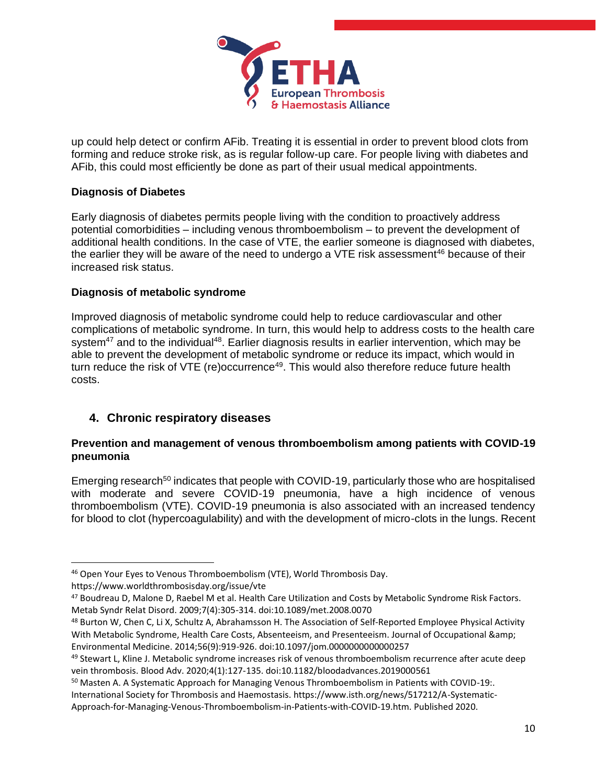

up could help detect or confirm AFib. Treating it is essential in order to prevent blood clots from forming and reduce stroke risk, as is regular follow-up care. For people living with diabetes and AFib, this could most efficiently be done as part of their usual medical appointments.

## **Diagnosis of Diabetes**

Early diagnosis of diabetes permits people living with the condition to proactively address potential comorbidities – including venous thromboembolism – to prevent the development of additional health conditions. In the case of VTE, the earlier someone is diagnosed with diabetes, the earlier they will be aware of the need to undergo a VTE risk assessment<sup>46</sup> because of their increased risk status.

# **Diagnosis of metabolic syndrome**

Improved diagnosis of metabolic syndrome could help to reduce cardiovascular and other complications of metabolic syndrome. In turn, this would help to address costs to the health care system $47$  and to the individual $48$ . Earlier diagnosis results in earlier intervention, which may be able to prevent the development of metabolic syndrome or reduce its impact, which would in turn reduce the risk of VTE (re)occurrence<sup>49</sup>. This would also therefore reduce future health costs.

# **4. Chronic respiratory diseases**

## **Prevention and management of venous thromboembolism among patients with COVID-19 pneumonia**

Emerging research<sup>50</sup> indicates that people with COVID-19, particularly those who are hospitalised with moderate and severe COVID-19 pneumonia, have a high incidence of venous thromboembolism (VTE). COVID-19 pneumonia is also associated with an increased tendency for blood to clot (hypercoagulability) and with the development of micro-clots in the lungs. Recent

<sup>46</sup> Open Your Eyes to Venous Thromboembolism (VTE), World Thrombosis Day.

https://www.worldthrombosisday.org/issue/vte

<sup>47</sup> Boudreau D, Malone D, Raebel M et al. Health Care Utilization and Costs by Metabolic Syndrome Risk Factors. Metab Syndr Relat Disord. 2009;7(4):305-314. doi:10.1089/met.2008.0070

<sup>48</sup> Burton W, Chen C, Li X, Schultz A, Abrahamsson H. The Association of Self-Reported Employee Physical Activity With Metabolic Syndrome, Health Care Costs, Absenteeism, and Presenteeism. Journal of Occupational & amp; Environmental Medicine. 2014;56(9):919-926. doi:10.1097/jom.0000000000000257

<sup>49</sup> Stewart L, Kline J. Metabolic syndrome increases risk of venous thromboembolism recurrence after acute deep vein thrombosis. Blood Adv. 2020;4(1):127-135. doi:10.1182/bloodadvances.2019000561

<sup>&</sup>lt;sup>50</sup> Masten A. A Systematic Approach for Managing Venous Thromboembolism in Patients with COVID-19:. International Society for Thrombosis and Haemostasis. https://www.isth.org/news/517212/A-Systematic-

Approach-for-Managing-Venous-Thromboembolism-in-Patients-with-COVID-19.htm. Published 2020.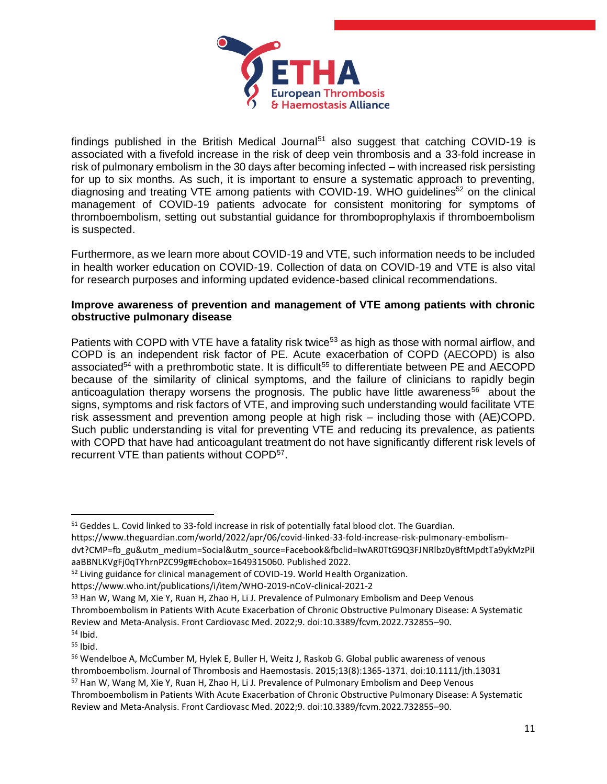

findings published in the British Medical Journal<sup>51</sup> also suggest that catching COVID-19 is associated with a fivefold increase in the risk of deep vein thrombosis and a 33-fold increase in risk of pulmonary embolism in the 30 days after becoming infected – with increased risk persisting for up to six months. As such, it is important to ensure a systematic approach to preventing, diagnosing and treating VTE among patients with COVID-19. WHO guidelines<sup>52</sup> on the clinical management of COVID-19 patients advocate for consistent monitoring for symptoms of thromboembolism, setting out substantial guidance for thromboprophylaxis if thromboembolism is suspected.

Furthermore, as we learn more about COVID-19 and VTE, such information needs to be included in health worker education on COVID-19. Collection of data on COVID-19 and VTE is also vital for research purposes and informing updated evidence-based clinical recommendations.

## **Improve awareness of prevention and management of VTE among patients with chronic obstructive pulmonary disease**

Patients with COPD with VTE have a fatality risk twice<sup>53</sup> as high as those with normal airflow, and COPD is an independent risk factor of PE. Acute exacerbation of COPD (AECOPD) is also associated<sup>54</sup> with a prethrombotic state. It is difficult<sup>55</sup> to differentiate between PE and AECOPD because of the similarity of clinical symptoms, and the failure of clinicians to rapidly begin anticoagulation therapy worsens the prognosis. The public have little awareness<sup>56</sup> about the signs, symptoms and risk factors of VTE, and improving such understanding would facilitate VTE risk assessment and prevention among people at high risk – including those with (AE)COPD. Such public understanding is vital for preventing VTE and reducing its prevalence, as patients with COPD that have had anticoagulant treatment do not have significantly different risk levels of recurrent VTE than patients without COPD<sup>57</sup>.

<sup>&</sup>lt;sup>51</sup> Geddes L. Covid linked to 33-fold increase in risk of potentially fatal blood clot. The Guardian.

https://www.theguardian.com/world/2022/apr/06/covid-linked-33-fold-increase-risk-pulmonary-embolismdvt?CMP=fb\_gu&utm\_medium=Social&utm\_source=Facebook&fbclid=IwAR0TtG9Q3FJNRlbz0yBftMpdtTa9ykMzPiI aaBBNLKVgFj0qTYhrnPZC99g#Echobox=1649315060. Published 2022.

<sup>52</sup> Living guidance for clinical management of COVID-19. World Health Organization.

https://www.who.int/publications/i/item/WHO-2019-nCoV-clinical-2021-2

<sup>53</sup> Han W, Wang M, Xie Y, Ruan H, Zhao H, Li J. Prevalence of Pulmonary Embolism and Deep Venous Thromboembolism in Patients With Acute Exacerbation of Chronic Obstructive Pulmonary Disease: A Systematic Review and Meta-Analysis. Front Cardiovasc Med. 2022;9. doi:10.3389/fcvm.2022.732855–90. <sup>54</sup> Ibid.

<sup>55</sup> Ibid.

<sup>56</sup> Wendelboe A, McCumber M, Hylek E, Buller H, Weitz J, Raskob G. Global public awareness of venous thromboembolism. Journal of Thrombosis and Haemostasis. 2015;13(8):1365-1371. doi:10.1111/jth.13031 <sup>57</sup> Han W, Wang M, Xie Y, Ruan H, Zhao H, Li J. Prevalence of Pulmonary Embolism and Deep Venous Thromboembolism in Patients With Acute Exacerbation of Chronic Obstructive Pulmonary Disease: A Systematic Review and Meta-Analysis. Front Cardiovasc Med. 2022;9. doi:10.3389/fcvm.2022.732855–90.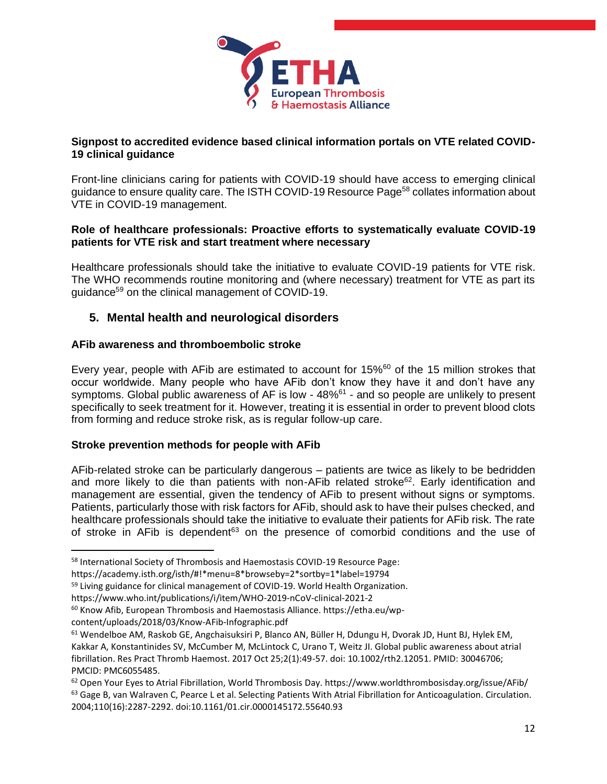

## **Signpost to accredited evidence based clinical information portals on VTE related COVID-19 clinical guidance**

Front-line clinicians caring for patients with COVID-19 should have access to emerging clinical guidance to ensure quality care. The ISTH COVID-19 Resource Page<sup>58</sup> collates information about VTE in COVID-19 management.

#### **Role of healthcare professionals: Proactive efforts to systematically evaluate COVID-19 patients for VTE risk and start treatment where necessary**

Healthcare professionals should take the initiative to evaluate COVID-19 patients for VTE risk. The WHO recommends routine monitoring and (where necessary) treatment for VTE as part its guidance<sup>59</sup> on the clinical management of COVID-19.

# **5. Mental health and neurological disorders**

## **AFib awareness and thromboembolic stroke**

Every year, people with AFib are estimated to account for 15%<sup>60</sup> of the 15 million strokes that occur worldwide. Many people who have AFib don't know they have it and don't have any symptoms. Global public awareness of AF is low - 48%<sup>61</sup> - and so people are unlikely to present specifically to seek treatment for it. However, treating it is essential in order to prevent blood clots from forming and reduce stroke risk, as is regular follow-up care.

## **Stroke prevention methods for people with AFib**

AFib-related stroke can be particularly dangerous – patients are twice as likely to be bedridden and more likely to die than patients with non-AFib related stroke<sup>62</sup>. Early identification and management are essential, given the tendency of AFib to present without signs or symptoms. Patients, particularly those with risk factors for AFib, should ask to have their pulses checked, and healthcare professionals should take the initiative to evaluate their patients for AFib risk. The rate of stroke in AFib is dependent $63$  on the presence of comorbid conditions and the use of

https://academy.isth.org/isth/#!\*menu=8\*browseby=2\*sortby=1\*label=19794

content/uploads/2018/03/Know-AFib-Infographic.pdf

<sup>58</sup> International Society of Thrombosis and Haemostasis COVID-19 Resource Page:

<sup>&</sup>lt;sup>59</sup> Living guidance for clinical management of COVID-19. World Health Organization.

https://www.who.int/publications/i/item/WHO-2019-nCoV-clinical-2021-2

<sup>60</sup> Know Afib, European Thrombosis and Haemostasis Alliance. https://etha.eu/wp-

<sup>61</sup> Wendelboe AM, Raskob GE, Angchaisuksiri P, Blanco AN, Büller H, Ddungu H, Dvorak JD, Hunt BJ, Hylek EM, Kakkar A, Konstantinides SV, McCumber M, McLintock C, Urano T, Weitz JI. Global public awareness about atrial fibrillation. Res Pract Thromb Haemost. 2017 Oct 25;2(1):49-57. doi: 10.1002/rth2.12051. PMID: 30046706; PMCID: PMC6055485.

<sup>62</sup> Open Your Eyes to Atrial Fibrillation, World Thrombosis Day. https://www.worldthrombosisday.org/issue/AFib/ <sup>63</sup> Gage B, van Walraven C, Pearce L et al. Selecting Patients With Atrial Fibrillation for Anticoagulation. Circulation. 2004;110(16):2287-2292. doi:10.1161/01.cir.0000145172.55640.93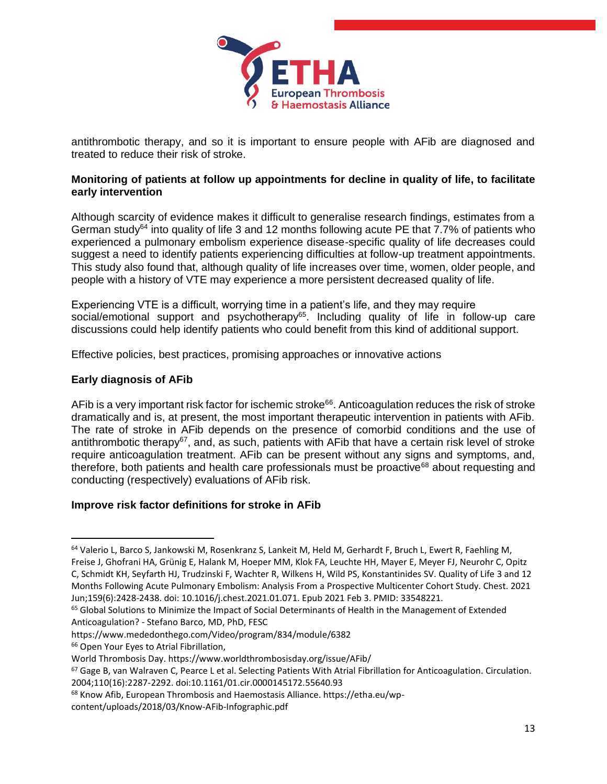

antithrombotic therapy, and so it is important to ensure people with AFib are diagnosed and treated to reduce their risk of stroke.

#### **Monitoring of patients at follow up appointments for decline in quality of life, to facilitate early intervention**

Although scarcity of evidence makes it difficult to generalise research findings, estimates from a German study<sup>64</sup> into quality of life 3 and 12 months following acute PE that  $7.7\%$  of patients who experienced a pulmonary embolism experience disease-specific quality of life decreases could suggest a need to identify patients experiencing difficulties at follow-up treatment appointments. This study also found that, although quality of life increases over time, women, older people, and people with a history of VTE may experience a more persistent decreased quality of life.

Experiencing VTE is a difficult, worrying time in a patient's life, and they may require social/emotional support and psychotherapy $65$ . Including quality of life in follow-up care discussions could help identify patients who could benefit from this kind of additional support.

Effective policies, best practices, promising approaches or innovative actions

## **Early diagnosis of AFib**

AFib is a very important risk factor for ischemic stroke<sup>66</sup>. Anticoagulation reduces the risk of stroke dramatically and is, at present, the most important therapeutic intervention in patients with AFib. The rate of stroke in AFib depends on the presence of comorbid conditions and the use of antithrombotic therapy<sup>67</sup>, and, as such, patients with AFib that have a certain risk level of stroke require anticoagulation treatment. AFib can be present without any signs and symptoms, and, therefore, both patients and health care professionals must be proactive $^{68}$  about requesting and conducting (respectively) evaluations of AFib risk.

## **Improve risk factor definitions for stroke in AFib**

<sup>&</sup>lt;sup>64</sup> Valerio L, Barco S, Jankowski M, Rosenkranz S, Lankeit M, Held M, Gerhardt F, Bruch L, Ewert R, Faehling M, Freise J, Ghofrani HA, Grünig E, Halank M, Hoeper MM, Klok FA, Leuchte HH, Mayer E, Meyer FJ, Neurohr C, Opitz C, Schmidt KH, Seyfarth HJ, Trudzinski F, Wachter R, Wilkens H, Wild PS, Konstantinides SV. Quality of Life 3 and 12 Months Following Acute Pulmonary Embolism: Analysis From a Prospective Multicenter Cohort Study. Chest. 2021 Jun;159(6):2428-2438. doi: 10.1016/j.chest.2021.01.071. Epub 2021 Feb 3. PMID: 33548221.

<sup>&</sup>lt;sup>65</sup> Global Solutions to Minimize the Impact of Social Determinants of Health in the Management of Extended Anticoagulation? - Stefano Barco, MD, PhD, FESC

https://www.mededonthego.com/Video/program/834/module/6382

<sup>66</sup> Open Your Eyes to Atrial Fibrillation,

World Thrombosis Day. https://www.worldthrombosisday.org/issue/AFib/

<sup>67</sup> Gage B, van Walraven C, Pearce L et al. Selecting Patients With Atrial Fibrillation for Anticoagulation. Circulation. 2004;110(16):2287-2292. doi:10.1161/01.cir.0000145172.55640.93

<sup>68</sup> Know Afib, European Thrombosis and Haemostasis Alliance. https://etha.eu/wp-

content/uploads/2018/03/Know-AFib-Infographic.pdf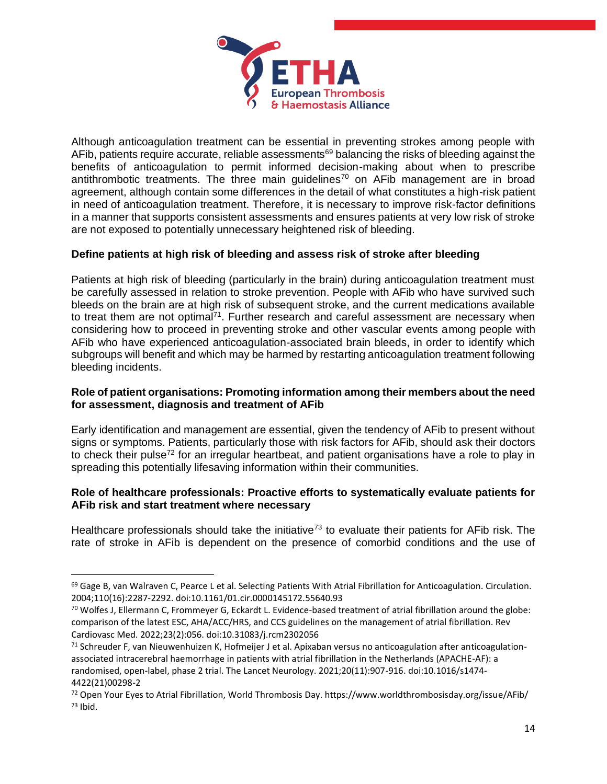

Although anticoagulation treatment can be essential in preventing strokes among people with AFib, patients require accurate, reliable assessments<sup>69</sup> balancing the risks of bleeding against the benefits of anticoagulation to permit informed decision-making about when to prescribe antithrombotic treatments. The three main guidelines<sup>70</sup> on AFib management are in broad agreement, although contain some differences in the detail of what constitutes a high-risk patient in need of anticoagulation treatment. Therefore, it is necessary to improve risk-factor definitions in a manner that supports consistent assessments and ensures patients at very low risk of stroke are not exposed to potentially unnecessary heightened risk of bleeding.

## **Define patients at high risk of bleeding and assess risk of stroke after bleeding**

Patients at high risk of bleeding (particularly in the brain) during anticoagulation treatment must be carefully assessed in relation to stroke prevention. People with AFib who have survived such bleeds on the brain are at high risk of subsequent stroke, and the current medications available to treat them are not optimal<sup>71</sup>. Further research and careful assessment are necessary when considering how to proceed in preventing stroke and other vascular events among people with AFib who have experienced anticoagulation-associated brain bleeds, in order to identify which subgroups will benefit and which may be harmed by restarting anticoagulation treatment following bleeding incidents.

#### **Role of patient organisations: Promoting information among their members about the need for assessment, diagnosis and treatment of AFib**

Early identification and management are essential, given the tendency of AFib to present without signs or symptoms. Patients, particularly those with risk factors for AFib, should ask their doctors to check their pulse<sup>72</sup> for an irregular heartbeat, and patient organisations have a role to play in spreading this potentially lifesaving information within their communities.

#### **Role of healthcare professionals: Proactive efforts to systematically evaluate patients for AFib risk and start treatment where necessary**

Healthcare professionals should take the initiative<sup>73</sup> to evaluate their patients for AFib risk. The rate of stroke in AFib is dependent on the presence of comorbid conditions and the use of

 $69$  Gage B, van Walraven C, Pearce L et al. Selecting Patients With Atrial Fibrillation for Anticoagulation. Circulation. 2004;110(16):2287-2292. doi:10.1161/01.cir.0000145172.55640.93

 $70$  Wolfes J, Ellermann C, Frommeyer G, Eckardt L. Evidence-based treatment of atrial fibrillation around the globe: comparison of the latest ESC, AHA/ACC/HRS, and CCS guidelines on the management of atrial fibrillation. Rev Cardiovasc Med. 2022;23(2):056. doi:10.31083/j.rcm2302056

 $71$  Schreuder F, van Nieuwenhuizen K, Hofmeijer J et al. Apixaban versus no anticoagulation after anticoagulationassociated intracerebral haemorrhage in patients with atrial fibrillation in the Netherlands (APACHE-AF): a randomised, open-label, phase 2 trial. The Lancet Neurology. 2021;20(11):907-916. doi:10.1016/s1474- 4422(21)00298-2

<sup>72</sup> Open Your Eyes to Atrial Fibrillation, World Thrombosis Day. https://www.worldthrombosisday.org/issue/AFib/  $73$  Ibid.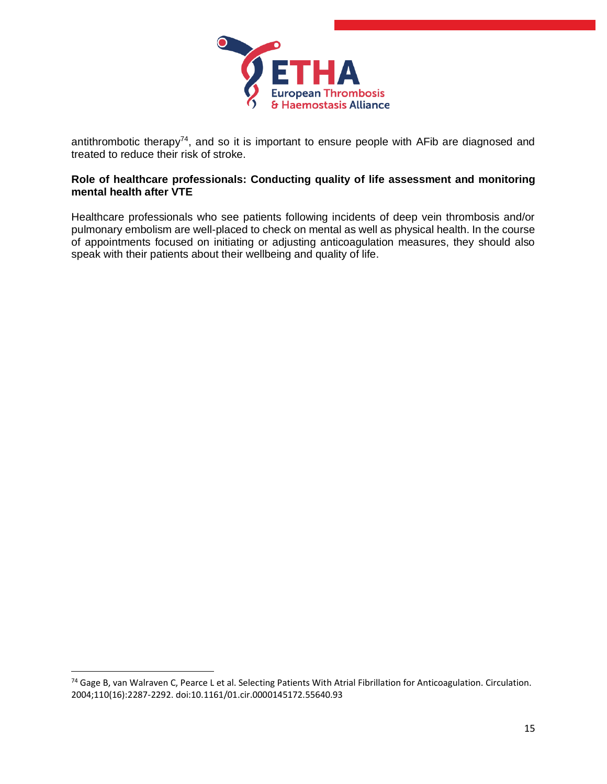

antithrombotic therapy<sup>74</sup>, and so it is important to ensure people with AFib are diagnosed and treated to reduce their risk of stroke.

#### **Role of healthcare professionals: Conducting quality of life assessment and monitoring mental health after VTE**

Healthcare professionals who see patients following incidents of deep vein thrombosis and/or pulmonary embolism are well-placed to check on mental as well as physical health. In the course of appointments focused on initiating or adjusting anticoagulation measures, they should also speak with their patients about their wellbeing and quality of life.

<sup>74</sup> Gage B, van Walraven C, Pearce L et al. Selecting Patients With Atrial Fibrillation for Anticoagulation. Circulation. 2004;110(16):2287-2292. doi:10.1161/01.cir.0000145172.55640.93